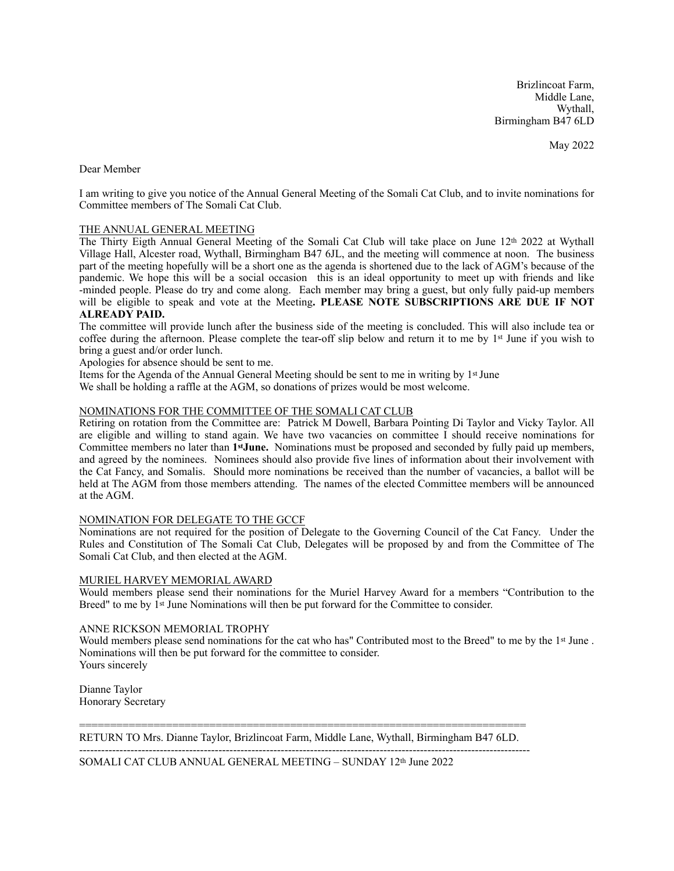Brizlincoat Farm, Middle Lane, Wythall, Birmingham B47 6LD

May 2022

Dear Member

I am writing to give you notice of the Annual General Meeting of the Somali Cat Club, and to invite nominations for Committee members of The Somali Cat Club.

## THE ANNUAL GENERAL MEETING

The Thirty Eigth Annual General Meeting of the Somali Cat Club will take place on June 12th 2022 at Wythall Village Hall, Alcester road, Wythall, Birmingham B47 6JL, and the meeting will commence at noon. The business part of the meeting hopefully will be a short one as the agenda is shortened due to the lack of AGM's because of the pandemic. We hope this will be a social occasion this is an ideal opportunity to meet up with friends and like -minded people. Please do try and come along. Each member may bring a guest, but only fully paid-up members will be eligible to speak and vote at the Meeting**. PLEASE NOTE SUBSCRIPTIONS ARE DUE IF NOT ALREADY PAID.**

The committee will provide lunch after the business side of the meeting is concluded. This will also include tea or coffee during the afternoon. Please complete the tear-off slip below and return it to me by 1st June if you wish to bring a guest and/or order lunch.

Apologies for absence should be sent to me.

Items for the Agenda of the Annual General Meeting should be sent to me in writing by 1st June We shall be holding a raffle at the AGM, so donations of prizes would be most welcome.

# NOMINATIONS FOR THE COMMITTEE OF THE SOMALI CAT CLUB

Retiring on rotation from the Committee are: Patrick M Dowell, Barbara Pointing Di Taylor and Vicky Taylor. All are eligible and willing to stand again. We have two vacancies on committee I should receive nominations for Committee members no later than **1stJune.** Nominations must be proposed and seconded by fully paid up members, and agreed by the nominees. Nominees should also provide five lines of information about their involvement with the Cat Fancy, and Somalis. Should more nominations be received than the number of vacancies, a ballot will be held at The AGM from those members attending. The names of the elected Committee members will be announced at the AGM.

### NOMINATION FOR DELEGATE TO THE GCCF

Nominations are not required for the position of Delegate to the Governing Council of the Cat Fancy. Under the Rules and Constitution of The Somali Cat Club, Delegates will be proposed by and from the Committee of The Somali Cat Club, and then elected at the AGM.

#### MURIEL HARVEY MEMORIAL AWARD

Would members please send their nominations for the Muriel Harvey Award for a members "Contribution to the Breed" to me by 1<sup>st</sup> June Nominations will then be put forward for the Committee to consider.

## ANNE RICKSON MEMORIAL TROPHY

Would members please send nominations for the cat who has" Contributed most to the Breed" to me by the 1<sup>st</sup> June . Nominations will then be put forward for the committee to consider. Yours sincerely

Dianne Taylor Honorary Secretary

======================================================================== RETURN TO Mrs. Dianne Taylor, Brizlincoat Farm, Middle Lane, Wythall, Birmingham B47 6LD.

---------------------------------------------------------------------------------------------------------------------------

SOMALI CAT CLUB ANNUAL GENERAL MEETING - SUNDAY 12th June 2022